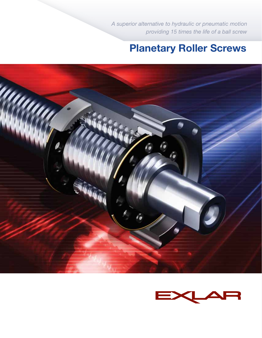*A superior alternative to hydraulic or pneumatic motion providing 15 times the life of a ball screw*

# Planetary Roller Screws



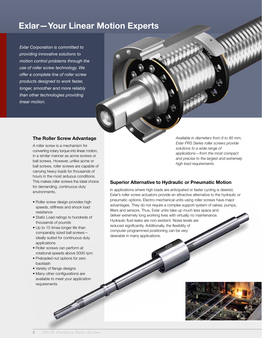## Exlar—Your Linear Motion Experts

*Exlar Corporation is committed to providing innovative solutions to motion control problems through the use of roller screw technology. We offer a complete line of roller screw products designed to work faster, longer, smoother and more reliably than other technologies providing linear motion.* 

## The Roller Screw Advantage

A roller screw is a mechanism for converting rotary torque into linear motion, in a similar manner as acme screws or ball screws. However, unlike acme or ball screws, roller screws are capable of carrying heavy loads for thousands of hours in the most arduous conditions. This makes roller screws the ideal choice for demanding, continuous-duty environments.

- Roller screw design provides high speeds, stiffness and shock load resistance
- Static Load ratings to hundreds of thousands of pounds
- Up to 15 times longer life than comparably sized ball screws ideally suited for continuous duty applications
- Roller screws can perform at rotational speeds above 5000 rpm
- Preloaded nut options for zero backlash
- Variety of flange designs
- Many other configurations are available to meet your application requirements

*Available in diameters from 8 to 80 mm, Exlar PRS Series roller screws provide solutions to a wide range of applications—from the most compact and precise to the largest and extremely high load requirements.* 

## Superior Alternative to Hydraulic or Pneumatic Motion

In applications where high loads are anticipated or faster cycling is desired, Exlar's roller screw actuators provide an attractive alternative to the hydraulic or pneumatic options. Electro-mechanical units using roller screws have major advantages. They do not require a complex support system of valves, pumps, filters and sensors. Thus, Exlar units take up much less space and deliver extremely long working lives with virtually no maintenance. Hydraulic fluid leaks are non-existent. Noise levels are reduced significantly. Additionally, the flexibility of computer programmed positioning can be very desirable in many applications.

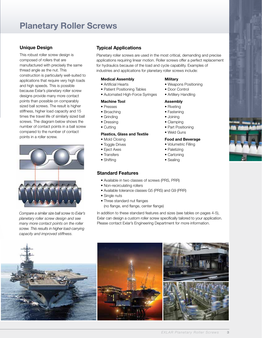## Planetary Roller Screws

## Unique Design

This robust roller screw design is composed of rollers that are manufactured with precisely the same thread angle as the nut. This construction is particularly well-suited to applications that require very high loads and high speeds. This is possible because Exlar's planetary roller screw designs provide many more contact points than possible on comparably sized ball screws. The result is higher stiffness, higher load capacity and 15 times the travel life of similarly sized ball screws. The diagram below shows the number of contact points in a ball screw compared to the number of contact points in a roller screw.



*Compare a similar size ball screw to Exlar's planetary roller screw design and see many more contact points on the roller screw. This results in higher load-carrying capacity and improved stiffness.*

## Typical Applications

Planetary roller screws are used in the most critical, demanding and precise applications requiring linear motion. Roller screws offer a perfect replacement for hydraulics because of the load and cycle capability. Examples of industries and applications for planetary roller screws include:

#### Medical Assembly

- Artificial Hearts
- Patient Positioning Tables
- Automated High-Force Syringes

### Machine Tool

- Presses
- Broaching
- Grinding
- Dressing
- Cutting

#### Plastics, Glass and Textile

- Mold Closing
- Toggle Drives
- Eject Axes
- Transfers
- Shifting

## Standard Features

- Available in two classes of screws (PRS, PRR)
- Non-recirculating rollers
- Available tolerance classes G5 (PRS) and G9 (PRR)
- Single nuts
- Three standard nut flanges
	- (no flange, end flange, center flange)

In addition to these standard features and sizes (see tables on pages 4-5), Exlar can design a custom roller screw specifically tailored to your application. Please contact Exlar's Engineering Department for more information.





## **Military**

- Weapons Positioning
- Door Control
- Artillery Handling

#### Assembly

- Riveting
- Fastening
- Joining
- Clamping
- Part Positioning
- Weld Guns

#### Food and Beverage

#### • Volumetric Filling

- Paletizing
- Cartoning
- Sealing



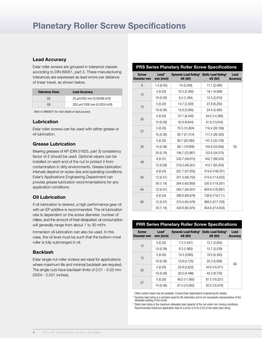## Lead Accuracy

Exlar roller screws are grouped in tolerance classes according to DIN 69051, part 3. These manufacturing tolerances are expressed as lead errors per distance of linear travel, as shown below.

| <b>Tolerance Class</b> | <b>Lead Accuracy</b>          |
|------------------------|-------------------------------|
| G5                     | 23 um/300 mm (0.00096 in/ft)  |
| G9                     | 200 µm/1000 mm (0.0024 in/ft) |

*Refer to DIN69051 for more details on lead accuracy.*

## Lubrication

Exlar roller screws can be used with either grease or oil lubrication.

## Grease Lubrication

Bearing greases of KP (DIN 51825, part 3) consistency factor of 2 should be used. Optional wipers can be installed on each end of the nut to protect it from contamination in dirty environments. Grease lubrication intervals depend on screw size and operating conditions. Exlar's Applications Engineering Department can provide grease lubrication recommendations for any application conditions.

## Oil Lubrication

If oil lubrication is desired, a high performance gear oil with an EP additive is recommended. The oil lubrication rate is dependent on the screw diameter, number of rollers, and the amount of heat dissipated; oil consumption will generally range from about 1 to 30 ml/hr.

Immersion oil lubrication can also be used. In this case, the oil level must be such that the bottom-most roller is fully submerged in oil.

## Backlash

Exlar single nut roller screws are ideal for applications where maximum life and minimal backlash are required. The single nuts have backlash limits of 0.01 - 0.03 mm (0004 - 0.001 inches).

## PRS Series Planetary Roller Screw Specifications

| <b>Screw</b><br>Diameter mm | Lead <sup>1</sup><br>mm (inch) | Dynamic Load Rating <sup>2</sup> Static Load Rating <sup>3</sup><br>kN (lbf) | kN (lbf)        | Lead<br><b>Accuracy</b> |
|-----------------------------|--------------------------------|------------------------------------------------------------------------------|-----------------|-------------------------|
| 8                           | 1.5(0.05)                      | 10 (2,248)                                                                   | 11.1 (2,495)    |                         |
| 12                          | 5(0.20)                        | 10.5 (2,360)                                                                 | 18.1 (4,069)    |                         |
|                             | 10 (0.39)                      | 6.2(1,394)                                                                   | 12.5 (2,810)    |                         |
|                             | 5(0.20)                        | 14.7 (3,300)                                                                 | 27.8 (6,250)    |                         |
| 15                          | 10 (0.39)                      | 12.9 (2,900)                                                                 | 24.4 (5,485)    |                         |
| 20                          | 5(0.20)                        | 37.1 (8,340)                                                                 | 64.0 (14,388)   |                         |
|                             | 10 (0.39)                      | 42.9 (9,644)                                                                 | 61.9 (13,916)   |                         |
| 27                          | 5(0.20)                        | 70.3 (15,804)                                                                | 116.4 (26,168)  |                         |
|                             | 10 (0.39)                      | 95.7 (21,514)                                                                | 117.4 (26,393)  |                         |
|                             | 5(0.20)                        | 90.7 (20,390)                                                                | 147.5 (33,159)  |                         |
| 30                          | 10 (0.39)                      | 88.1 (19,806)                                                                | 150.6 (33,856)  | G5                      |
|                             | 20 (0.79)                      | 106.7 (23,987)                                                               | 153.8 (34,575)  |                         |
| 48                          | 8(0.31)                        | 220.7 (49,615)                                                               | 442.7 (99,523)  |                         |
|                             | 15 (0.59)                      | 219.3 (49,301)                                                               | 415.7 (93,453)  |                         |
|                             | 6(0.24)                        | 257.7 (57,933)                                                               | 474.9 (106,761) |                         |
| 60                          | 12 (0.47)                      | 221.3 (49,750)                                                               | 510.8 (114,832) |                         |
|                             | 30(1.18)                       | 284.5 (63,958)                                                               | 530.5 (119,261) |                         |
| 64                          | 12 (0.47)                      | 264.7 (59,507)                                                               | 604.9 (135,987) |                         |
|                             | 6(0.24)                        | 399.8 (89,879)                                                               | 738.9 (116,111) |                         |
| 80                          | 12 (0.47)                      | 374.0 (84,079)                                                               | 968.5 (217,728) |                         |
|                             | 30(1.18)                       | 426.9 (95,970)                                                               | 954.6 (214,603) |                         |

#### PRR Series Planetary Roller Screw Specifications

| <b>Screw</b><br>Diameter mm | Lead <sup>1</sup><br>mm (inch) | Dynamic Load Rating <sup>2</sup> Static Load Rating <sup>3</sup><br>kN (lbf) | kN (lbf)      | Lead<br><b>Accuracy</b> |
|-----------------------------|--------------------------------|------------------------------------------------------------------------------|---------------|-------------------------|
| 12                          | 5(0.20)                        | 7.3 (1,641)                                                                  | 12.7 (2,855)  |                         |
|                             | 10 (0.39)                      | 8.3(1,865)                                                                   | 15.7 (3,529)  |                         |
| 15<br>20                    | 5(0.20)                        | 10.5 (2360)                                                                  | 19.5 (4,383)  |                         |
|                             | 10 (0.39)                      | 13.9 (3,125)                                                                 | 25.3 (5,688)  | G <sub>9</sub>          |
|                             | 5(0.20)                        | 25.9 (5,822)                                                                 | 44.8 (10,071) |                         |
|                             | 10 (0.39)                      | 20.0 (4,496)                                                                 | 43.3 (9.734)  |                         |
| 27                          | 5(0.20)                        | 49.2 (11,060)                                                                | 81.5 (18,321) |                         |
|                             | 10 (0.39)                      | 67.0 (15,062)                                                                | 82.2 (18,479) |                         |

<sup>1</sup> Other custom leads may be available. Consult Exlar Applications Engineering for details.

<sup>2</sup> Dynamic load rating is a constant used for life estimation and is not necessarily representative of the allowable loading of the screw.

<sup>3</sup> Static load rating is the maximum allowable load capacity of the nut under non-moving conditions. Recommended maximum application load of a screw is 0.25-0.33 of the static load rating.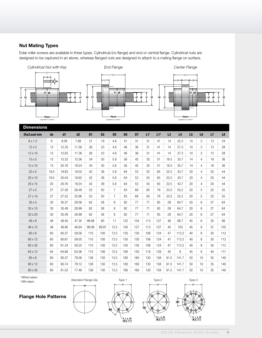## Nut Mating Types

Exlar roller screws are available in three types. Cylindrical (no flange) and end or central flange. Cylindrical nuts are designed to be captured in an abore, whereas flanged nuts are designed to attach to a mating flange on surface.



| <b>Dimensions</b> |      |       |       |                |                |                |                |                |                 |                 |      |       |                |                |    |     |
|-------------------|------|-------|-------|----------------|----------------|----------------|----------------|----------------|-----------------|-----------------|------|-------|----------------|----------------|----|-----|
| Dia/Lead mm       | do   | d1    | d2    | D <sub>1</sub> | D <sub>2</sub> | D <sub>5</sub> | D <sub>6</sub> | D <sub>7</sub> | L1 <sup>1</sup> | L1 <sup>2</sup> | L3   | L4    | L <sub>5</sub> | L <sub>6</sub> | L7 | L8  |
| 8 x 1.5           | 8    | 8.09  | 7.89  | 21             | 19             | 4.8            | 41             | 31             | 31              | 41              | 14   | 22.3  | 10             | 3              | 13 | 24  |
| $12 \times 5$     | 12   | 12.35 | 11.56 | 26             | 23             | 4.8            | 46             | 36             | 31              | 41              | 14   | 27.3  | 10             | 3              | 13 | 28  |
| 12 x 10           | 12   | 12.63 | 11.36 | 26             | 23             | 4.8            | 46             | 36             | 31              | 41              | 14   | 27.3  | 10             | 3              | 13 | 28  |
| $15 \times 5$     | 15   | 15.32 | 15.56 | 34             | 30             | 5.8            | 56             | 45             | 35              | 51              | 16.5 | 35.7  | 14             | 4              | 18 | 36  |
| 15 x 10           | 15   | 20.76 | 19.24 | 34             | 30             | 5.8            | 56             | 45             | 35              | 51              | 16.5 | 35.7  | 14             | 4              | 18 | 36  |
| 20x5              | 19.5 | 19.83 | 19.02 | 42             | 39             | 5.8            | 64             | 53             | 55              | 65              | 22.5 | 43.7  | 20             | $\overline{4}$ | 20 | 44  |
| 20 x 10           | 19.5 | 20.04 | 18.62 | 42             | 39             | 5.8            | 64             | 53             | 55              | 65              | 22.5 | 43.7  | 20             | 4              | 20 | 44  |
| 20 x 15           | 20   | 20.76 | 19.24 | 42             | 39             | 5.8            | 64             | 53             | 55              | 65              | 22.5 | 43.7  | 20             | 4              | 20 | 44  |
| 27x5              | 27   | 27.28 | 26.49 | 53             | 50             | $\overline{7}$ | 83             | 68             | 65              | 79              | 23.5 | 55.2  | 20             | 5              | 22 | 55  |
| 27 x 10           | 27   | 27.52 | 25.96 | 53             | 50             | $\overline{7}$ | 83             | 68             | 65              | 79              | 23.5 | 55.2  | 20             | 5              | 22 | 55  |
| 30 x 5            | 30   | 30.37 | 29.56 | 62             | 58             | 9              | 92             | 77             | 71              | 85              | 29   | 64.7  | 20             | 6              | 27 | 64  |
| 30 x 10           | 30   | 30.49 | 28.99 | 62             | 58             | 9              | 92             | 77             | 71              | 85              | 29   | 64.7  | 20             | 6              | 27 | 64  |
| 30 x 20           | 30   | 30.49 | 28.99 | 62             | 58             | 9              | 92             | 77             | 71              | 85              | 29   | 64.7  | 20             | 6              | 27 | 64  |
| 48 x 8            | 48   | 48.40 | 47.35 | 99.86          | 80             | 11             | 122            | 104            | 113             | 127             | 46   | 88.7  | 45             | 6              | 35 | 88  |
| 48 x 15           | 48   | 48.90 | 46.84 | 99.99          | 89.97          | 13.5           | 150            | 127            | 113             | 127             | 45   | 103   | 45             | 8              | 37 | 102 |
| 60 x 6            | 60   | 60.37 | 59.56 | 110            | 100            | 13.5           | 150            | 130            | 106             | 124             | 47   | 113.2 | 40             | 8              | 30 | 112 |
| 60 x 12           | 60   | 60.67 | 59.05 | 110            | 100            | 13.5           | 150            | 130            | 106             | 124             | 47   | 113.2 | 40             | 8              | 30 | 112 |
| 60 x 30           | 60   | 61.24 | 58.25 | 110            | 100            | 13.5           | 150            | 130            | 106             | 124             | 47   | 113.2 | 40             | 8              | 30 | 112 |
| 64 x 12           | 64   | 64.68 | 63.06 | 115            | 106            | 13.5           | 180            | 150            | 118             | 129             | 45   | 8     | 45             | 8              | 40 | 117 |
| 80 x 6            | 80   | 80.37 | 79.56 | 138            | 130            | 13.5           | 180            | 160            | 130             | 158             | 61.5 | 141.7 | 50             | 10             | 35 | 140 |
| 80 x 12           | 80   | 80.74 | 79.12 | 138            | 130            | 13.5           | 180            | 160            | 130             | 158             | 61.5 | 141.7 | 50             | 10             | 35 | 140 |
| 80 x 30           | 80   | 81.53 | 77.48 | 138            | 130            | 13.5           | 180            | 160            | 130             | 158             | 61.5 | 141.7 | 50             | 10             | 35 | 140 |

1 Without wipers

2 With wipers

Flange Hole Patterns





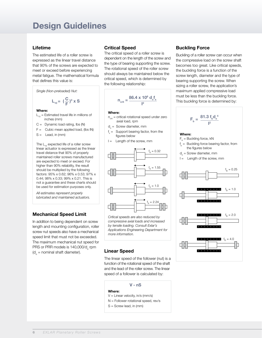## Design Guidelines

### Lifetime

The estimated life of a roller screw is expressed as the linear travel distance that 90% of the screws are expected to meet or exceed before experiencing metal fatigue. The mathematical formula that defines this value is:

*Single (Non-preloaded) Nut:*

$$
L_{10} = \left(\frac{C}{F}\right)^3 \times S
$$

#### Where:

- $L_{10}$  = Estimated travel life in millions of inches (mm)
- $C =$  Dynamic load rating, lbs  $(N)$
- $F =$  Cubic mean applied load, (lbs IN)
- $S =$  Lead, in (mm)

The  $L_{10}$  expected life of a roller screw linear actuator is expressed as the linear travel distance that 90% of properly maintained roller screws manufactured are expected to meet or exceed. For higher than 90% reliability, the result should be multiplied by the following factors: 95% x 0.62; 96% x 0.53; 97% x 0.44; 98% x 0.33; 99% x 0.21. This is not a guarantee and these charts should be used for estimation purposes only.

*All estimates represent properly lubricated and maintained actuators.*

## Mechanical Speed Limit

In addition to being dependent on screw length and mounting configuration, roller screw nut speeds also have a mechanical speed limit that must not be exceeded. The maximum mechanical nut speed for PRS or PRR models is 140,000/d<sub>o</sub> rpm  $(d_{\circ} =$  nominal shaft diameter).

## Critical Speed

The critical speed of a roller screw is dependent on the length of the screw and the type of bearing supporting the screw. The rotational speed of the roller screw should always be maintained below the critical speed, which is determined by the following relationship:

$$
n_{\rm crit} = \frac{86.4 \times 10^6 \text{ d}_{\rm o} \text{f}_{\rm s}}{l^2}
$$

#### Where:

- $n_{\text{crit}}$  = critical rotational speed under zero axial load, rpm
- d<sub>o</sub> = Screw diameter, mm
- f s = Support bearing factor, from the figures below
- $I =$  Length of the screw, mm



*Critical speeds are also reduced by compressive axial loads and increased by tensile loading. Consult Exlar's Applications Engineering Department for more information.*

## Linear Speed

The linear speed of the follower (nut) is a function of the rotational speed of the shaft and the lead of the roller screw. The linear speed of a follower is calculated by:

V - nS

#### Where:

- V = Linear velocity, in/s (mm/s)
- N = Follower rotational speed, rev/s
- S = Screw lead, in (mm)

## Buckling Force

Buckling of a roller screw can occur when the compressive load on the screw shaft becomes too great. Like critical speeds, the buckling force is a function of the screw length, diameter and the type of bearing supporting the screw. When sizing a roller screw, the application's maximum applied compressive load must be less than the buckling force. This buckling force is determined by:

$$
F_{b} = \frac{81.3 f_{b} d_{o}^{4}}{l^{2}}
$$

#### Where:

- $F_b$  = Buckling force, kN
- f<sub>b</sub> = Buckling force bearing factor, from the figures below
- d<sub>o</sub> = Screw diameter, mm
- $I =$  Length of the screw, mm

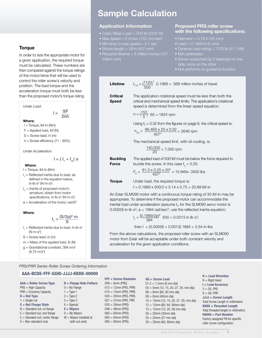### **Torque**

In order to size the appropriate motor for a given application, the required torque must be calculated. These numbers are then compared against the torque ratings of the motor/drive that will be used to control the roller screw's velocity and position. The load torque and the acceleration torque must both be less than the proposed motor's torque rating.



- $m =$  Mass of the applied load, lb  $(N)$
- $g =$  Gravitational constant, 384 in/s<sup>2</sup>  $(9.75 \text{ m/s}^2)$

## Sample Calculation

## Application Information

- Cubic Mean Load = 500 lbf (2225 N)
- Max speed = 6 in/sec (152 mm/sec)
- $\bullet$  Min time to max speed = 0.1 sec
- Stroke length  $= 18$  in (457 mm)
- million mm)

## Proposed PRS roller screw with the following specifications:

- Diameter =  $0.79$  in (20 mm)
- Lead =  $0.1969$  in (5 mm)
- 
- Non preloaded
- Screw supported by 2 bearings on one side; none on the other
- 

$$
L_{10} = \left(\frac{7120}{500}\right)^3
$$
 0.1969 = 568 million inches of travel

Lifetime

**Critical** The application rotational speed must be less than both the Speed critical and mechanical speed limits. The application's rotational speed is determined from the linear speed equation:

$$
n = \left(\frac{152}{5}\right) \ 60 = 1824 \text{ rpm}
$$

Using  $f_s = 0.32$  from the figures on page 6, the critical speed is:

$$
n_{\text{crit}} = \frac{86.4E6 \times 20 \times 0.32}{457^2} = 2648 \text{ rpm}
$$

The mechanical speed limit, with oil cooling, is:

$$
\frac{140,000}{20} = 7,000 \text{ rpm}
$$

**Buckling** The applied load of 500 lbf must be below the force required to **Force** buckle the screw. In this case  $f<sub>b</sub> = 0.25$ :

$$
F_b = \frac{81.3 \times 0.25 \times 20^4}{457^2} = 15.6 \text{kN} = 3500 \text{ lbs}
$$

**Torque** Under load, the required torque is:  $I = 0.1969 \times 500/2 \times 3.14 \times 0.75 = 20.89$  lbf-in

An Exlar SLM090 motor with a continuous torque rating of 30 lbf-in may be

appropriate. To determine if the proposed motor can accommodate the inertial load under acceleration (assume  $I<sub>m</sub>$  for the SLM090 servo motor is 0.00058 in-lb-s<sup>2</sup>;  $a = 1884$  rad/sec<sup>2</sup>, use the reflected inertia equation:

$$
I_1 = \frac{(0.1969/2p)^2}{384} 500 = 0.0013 \text{ in-lb-s}^2;
$$

then  $I = (0.00058 + 0.0013)$  1884 = 3.54 in-lbs

From the above calculations, the proposed roller screw with an SLM090 motor from Exlar will be acceptable under both constant velocity and acceleration for the given application conditions.

#### *PRS/PRR Series Roller Screw Ordering Information*

#### AAA-BCDE-FFF-GGHI-JJJJ-KKKK-00000

| <b>AAA = Roller Screw Type</b>    | <b>D</b> = Flange Hole Pattern |
|-----------------------------------|--------------------------------|
| $PRS = High Capacity$             | $0 = No$ Flange                |
| $PRR = Economy Capacity$          | $1 = Type 1$                   |
| $B = Nut Type$                    | $2 = Type 2$                   |
| $1 =$ Single nut                  | $3 = Type 3$                   |
| $C =$ Nut Flange Style            | $X = Special$                  |
| $N =$ Standard nut; no flange     | $E = Wipers$                   |
| $E =$ Standard nut; end flange    | $0 = No$ Wipers                |
| $C =$ Standard nut; center flange | $W = Wipers$ installed at      |
| X = Non-standard nuts             | both nut ends                  |

| <b>FFF</b> = Screw Diameter |
|-----------------------------|
| $008 = 8$ mm (PRS)          |
| $012 = 12$ mm (PRS, PRR)    |
| $015 = 15$ mm (PRS, PRR)    |
| $020 = 20$ mm (PRS, PRR)    |
| $027 = 27$ mm (PRS, PRR     |
| $030 = 30$ mm (PRS)         |
| $048 = 48$ mm (PRS)         |
| $060 = 60$ mm (PRS)         |
| $064 = 64$ mm (PRS)         |
| $080 = 80$ mm (PRS)         |

| $GG =$ Screw Lead                         |  |
|-------------------------------------------|--|
| $01.5 = 1.5$ mm (8 mm dia)                |  |
| $05 = 5$ mm (12, 15, 20, 27, 30, mm dia)  |  |
| $06 = 6$ mm (60, 80 mm dia)               |  |
| $08 = 8$ mm (48mm dia)                    |  |
| $10 = 10$ mm (12, 15, 20, 27, 30, mm dia) |  |
| $12 = 12$ mm (60, 64, 80mm dia)           |  |
| $15 = 15$ mm (15, 20, 48 mm dia)          |  |
| $20 = 20$ mm (30mm dia)                   |  |
| $25 = 25$ mm (27 mm dia)                  |  |

30 = 30mm (60, 80mm dia)

H = Lead Direction  $R =$  Right Hand I = Lead Accuracy  $5 = G5$ . PRS  $9 = G9$ , PRR JJJJ = Screw Length Total Screw Length in millimeters  $KKKK =$  Threaded Length Total threaded length in millimeters  $00000 =$  Part Number Factory assigned PN for specific roller screw configuration